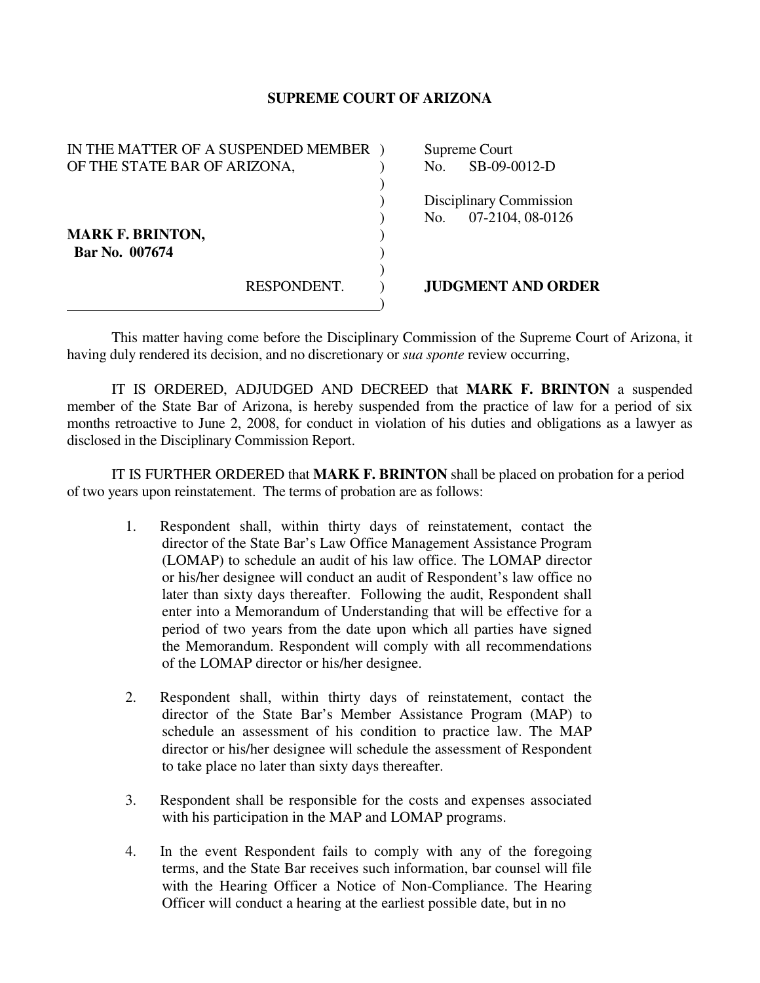## **SUPREME COURT OF ARIZONA**

| IN THE MATTER OF A SUSPENDED MEMBER |             |     | Supreme Court             |
|-------------------------------------|-------------|-----|---------------------------|
| OF THE STATE BAR OF ARIZONA,        |             | No. | SB-09-0012-D              |
|                                     |             |     |                           |
|                                     |             |     | Disciplinary Commission   |
|                                     |             | No. | 07-2104, 08-0126          |
| <b>MARK F. BRINTON,</b>             |             |     |                           |
| Bar No. 007674                      |             |     |                           |
|                                     |             |     |                           |
|                                     | RESPONDENT. |     | <b>JUDGMENT AND ORDER</b> |
|                                     |             |     |                           |

 This matter having come before the Disciplinary Commission of the Supreme Court of Arizona, it having duly rendered its decision, and no discretionary or *sua sponte* review occurring,

 IT IS ORDERED, ADJUDGED AND DECREED that **MARK F. BRINTON** a suspended member of the State Bar of Arizona, is hereby suspended from the practice of law for a period of six months retroactive to June 2, 2008, for conduct in violation of his duties and obligations as a lawyer as disclosed in the Disciplinary Commission Report.

 IT IS FURTHER ORDERED that **MARK F. BRINTON** shall be placed on probation for a period of two years upon reinstatement. The terms of probation are as follows:

- 1. Respondent shall, within thirty days of reinstatement, contact the director of the State Bar's Law Office Management Assistance Program (LOMAP) to schedule an audit of his law office. The LOMAP director or his/her designee will conduct an audit of Respondent's law office no later than sixty days thereafter. Following the audit, Respondent shall enter into a Memorandum of Understanding that will be effective for a period of two years from the date upon which all parties have signed the Memorandum. Respondent will comply with all recommendations of the LOMAP director or his/her designee.
- 2. Respondent shall, within thirty days of reinstatement, contact the director of the State Bar's Member Assistance Program (MAP) to schedule an assessment of his condition to practice law. The MAP director or his/her designee will schedule the assessment of Respondent to take place no later than sixty days thereafter.
- 3. Respondent shall be responsible for the costs and expenses associated with his participation in the MAP and LOMAP programs.
- 4. In the event Respondent fails to comply with any of the foregoing terms, and the State Bar receives such information, bar counsel will file with the Hearing Officer a Notice of Non-Compliance. The Hearing Officer will conduct a hearing at the earliest possible date, but in no